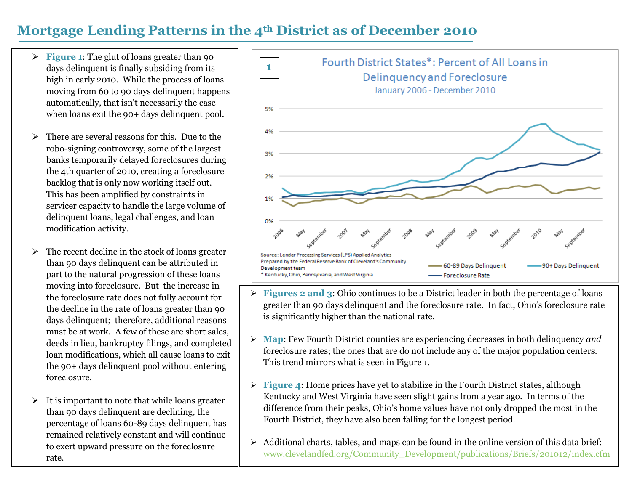## **Mortgage Lending Patterns in the 4th District as of December 2010**

- **Figure 1:** The glut of loans greater than 90 days delinquent is finally subsiding from its high in early 2010. While the process of loans moving from 60 to 90 days delinquent happens automatically, that isn't necessarily the case when loans exit the 90+ days delinquent pool.
- There are several reasons for this. Due to the robo-signing controversy, some of the largest banks temporarily delayed foreclosures during the 4th quarter of 2010, creating a foreclosure backlog that is only now working itself out. This has been amplified by constraints in servicer capacity to handle the large volume of delinquent loans, legal challenges, and loan modification activity.
- $\triangleright$  The recent decline in the stock of loans greater than 90 days delinquent can be attributed in part to the natural progression of these loans moving into foreclosure. But the increase in the foreclosure rate does not fully account for the decline in the rate of loans greater than 90 days delinquent; therefore, additional reasons must be at work. A few of these are short sales, deeds in lieu, bankruptcy filings, and completed loan modifications, which all cause loans to exit the 90+ days delinquent pool without entering foreclosure.
- $\triangleright$  It is important to note that while loans greater than 90 days delinquent are declining, the percentage of loans 60-89 days delinquent has remained relatively constant and will continue to exert upward pressure on the foreclosure rate.



- **Figures 2 and 3:** Ohio continues to be a District leader in both the percentage of loans greater than 90 days delinquent and the foreclosure rate. In fact, Ohio's foreclosure rate is significantly higher than the national rate.
- **Map**: Few Fourth District counties are experiencing decreases in both delinquency *and* foreclosure rates; the ones that are do not include any of the major population centers. This trend mirrors what is seen in Figure 1.
- **Figure 4:** Home prices have yet to stabilize in the Fourth District states, although Kentucky and West Virginia have seen slight gains from a year ago. In terms of the difference from their peaks, Ohio's home values have not only dropped the most in the Fourth District, they have also been falling for the longest period.
- Additional charts, tables, and maps can be found in the online version of this data brief: [www.clevelandfed.org/Community\\_Development/publications/Briefs/201012/index.cfm](http://www.clevelandfed.org/Community_Development/publications/Briefs/201012/index.cfm)